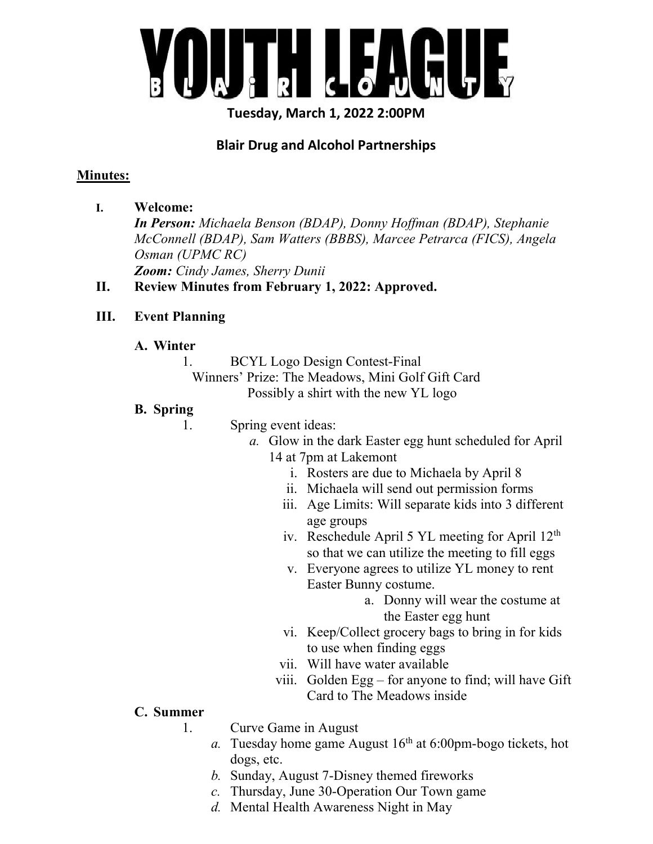

Tuesday, March 1, 2022 2:00PM

# Blair Drug and Alcohol Partnerships

#### Minutes:

I. Welcome: In Person: Michaela Benson (BDAP), Donny Hoffman (BDAP), Stephanie McConnell (BDAP), Sam Watters (BBBS), Marcee Petrarca (FICS), Angela Osman (UPMC RC) Zoom: Cindy James, Sherry Dunii

## II. Review Minutes from February 1, 2022: Approved.

# III. Event Planning

## A. Winter

1. BCYL Logo Design Contest-Final

Winners' Prize: The Meadows, Mini Golf Gift Card Possibly a shirt with the new YL logo

#### B. Spring

1. Spring event ideas:

- a. Glow in the dark Easter egg hunt scheduled for April 14 at 7pm at Lakemont
	- i. Rosters are due to Michaela by April 8
	- ii. Michaela will send out permission forms
	- iii. Age Limits: Will separate kids into 3 different age groups
	- iv. Reschedule April 5 YL meeting for April 12th so that we can utilize the meeting to fill eggs
	- v. Everyone agrees to utilize YL money to rent Easter Bunny costume.
		- a. Donny will wear the costume at the Easter egg hunt
	- vi. Keep/Collect grocery bags to bring in for kids to use when finding eggs
	- vii. Will have water available
	- viii. Golden  $Egg for$  anyone to find; will have Gift Card to The Meadows inside

#### C. Summer

- 1. Curve Game in August
	- a. Tuesday home game August  $16<sup>th</sup>$  at 6:00pm-bogo tickets, hot dogs, etc.
	- b. Sunday, August 7-Disney themed fireworks
	- c. Thursday, June 30-Operation Our Town game
	- d. Mental Health Awareness Night in May